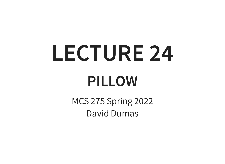# **LECTURE 24 PILLOW**

MCS 275 Spring 2022 David Dumas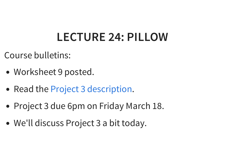#### **LECTURE 24: PILLOW**

Course bulletins:

- Worksheet 9 posted.
- Read the Project 3 [description](https://www.dumas.io/teaching/2022/spring/mcs275/nbview/projects/project3.html).
- Project 3 due 6pm on Friday March 18.
- We'll discuss Project 3 a bit today.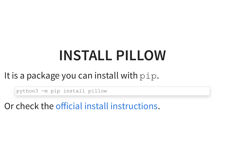## **INSTALL PILLOW**

#### It is a package you can install with pip.

python3 -m pip install pillow

Or check the official install [instructions](https://pillow.readthedocs.io/en/stable/installation.html).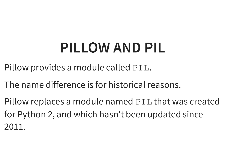### **PILLOW AND PIL**

Pillow provides a module called PIL.

The name difference is for historical reasons.

Pillow replaces a module named PIL that was created for Python 2, and which hasn't been updated since 2011.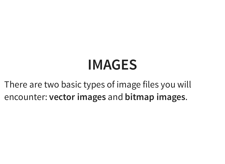#### **IMAGES**

There are two basic types of image files you will encounter: **vector images** and **bitmap images**.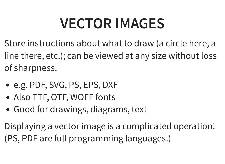## **VECTOR IMAGES**

Store instructions about what to draw (a circle here, a line there, etc.); can be viewed at any size without loss of sharpness.

- e.g. PDF, SVG, PS, EPS, DXF
- Also TTF, OTF, WOFF fonts
- Good for drawings, diagrams, text

Displaying a vector image is a complicated operation! (PS, PDF are full programming languages.)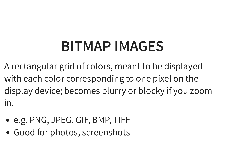### **BITMAP IMAGES**

A rectangular grid of colors, meant to be displayed with each color corresponding to one pixel on the display device; becomes blurry or blocky if you zoom in.

- e.g. PNG, JPEG, GIF, BMP, TIFF
- Good for photos, screenshots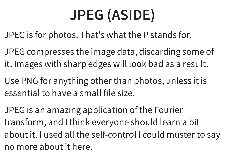# **JPEG (ASIDE)**

JPEG is for photos. That's what the P stands for.

JPEG compresses the image data, discarding some of it. Images with sharp edges will look bad as a result.

Use PNG for anything other than photos, unless it is essential to have a small file size.

JPEG is an amazing application of the Fourier transform, and I think everyone should learn a bit about it. I used all the self-control I could muster to say no more about it here.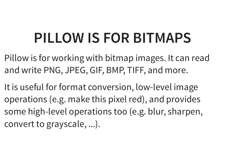#### **PILLOW IS FOR BITMAPS**

- Pillow is for working with bitmap images. It can read and write PNG, JPEG, GIF, BMP, TIFF, and more.
- It is useful for format conversion, low-level image operations (e.g. make this pixel red), and provides some high-level operations too (e.g. blur, sharpen, convert to grayscale, ...).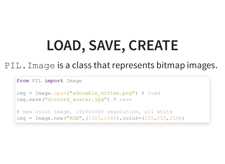# **LOAD, SAVE, CREATE**

#### PIL. Image is a class that represents bitmap images.

```
from PIL import Image
img = Image.open("adorable_kitten.png") # load
img.save("discord avatar.jpg") # save
# new color image, 1920x1080 resolution, all white
img = Image.new ("RGB", (1920, 1080), color=(255, 255, 255))
```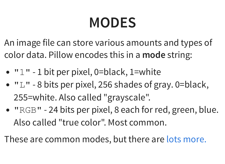### **MODES**

An image file can store various amounts and types of color data. Pillow encodes this in a **mode** string:

- $\bullet$  " $1$ " 1 bit per pixel, 0=black, 1=white
- $\bullet$  " $\mathbb{L}$ " 8 bits per pixel, 256 shades of gray. 0=black, 255=white. Also called "grayscale".
- "RGB" 24 bits per pixel, 8 each for red, green, blue. Also called "true color". Most common.

These are common modes, but there are lots [more.](https://pillow.readthedocs.io/en/stable/handbook/concepts.html#modes)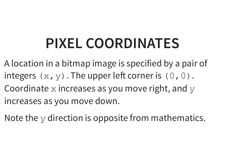### **PIXEL COORDINATES**

- A location in a bitmap image is specified by a pair of integers  $(x, y)$ . The upper left corner is  $(0, 0)$ . Coordinate  $x$  increases as you move right, and  $y$ increases as you move down.
- Note the y direction is opposite from mathematics.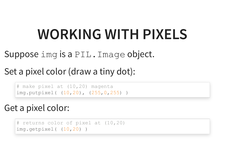### **WORKING WITH PIXELS**

#### Suppose img is a PIL. Image object.

#### Set a pixel color (draw a tiny dot):

```
# make pixel at (10,20) magenta
img.putpixel( (10,20), (255,0,255) )
```
#### Get a pixel color:

```
# returns color of pixel at (10,20)
img.getpixel( (10,20) )
```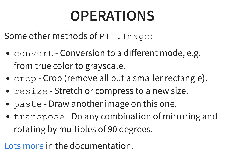## **OPERATIONS**

Some other methods of PIL. Image:

- convert Conversion to a different mode, e.g. from true color to grayscale.
- $\text{crop}$  Crop (remove all but a smaller rectangle).
- resize Stretch or compress to a new size.
- paste Draw another image on this one.
- transpose Do any combination of mirroring and rotating by multiples of 90 degrees.

Lots [more](https://pillow.readthedocs.io/en/stable/reference/Image.html) in the documentation.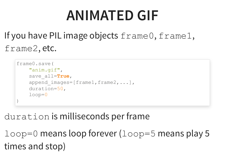#### **ANIMATED GIF**

#### If you have PIL image objects frame0, frame1, frame2, etc.

```
frame0.save(
    "anim.gif"
,
    save_all=True,
    append images=[frame1,frame2,...],
    duration=50,
    loop=0
\big)
```
#### duration is milliseconds per frame

 $loop=0$  means loop forever ( $loop=5$  means play 5 times and stop)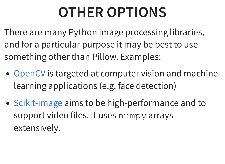### **OTHER OPTIONS**

There are many Python image processing libraries, and for a particular purpose it may be best to use something other than Pillow. Examples:

- [OpenCV](https://opencv.org/) is targeted at computer vision and machine learning applications (e.g. face detection)
- [Scikit-image](https://scikit-image.org/) aims to be high-performance and to support video files. It uses numpy arrays extensively.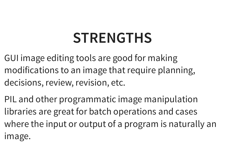#### **STRENGTHS**

- GUI image editing tools are good for making modifications to an image that require planning, decisions, review, revision, etc.
- PIL and other programmatic image manipulation libraries are great for batch operations and cases where the input or output of a program is naturally an image.